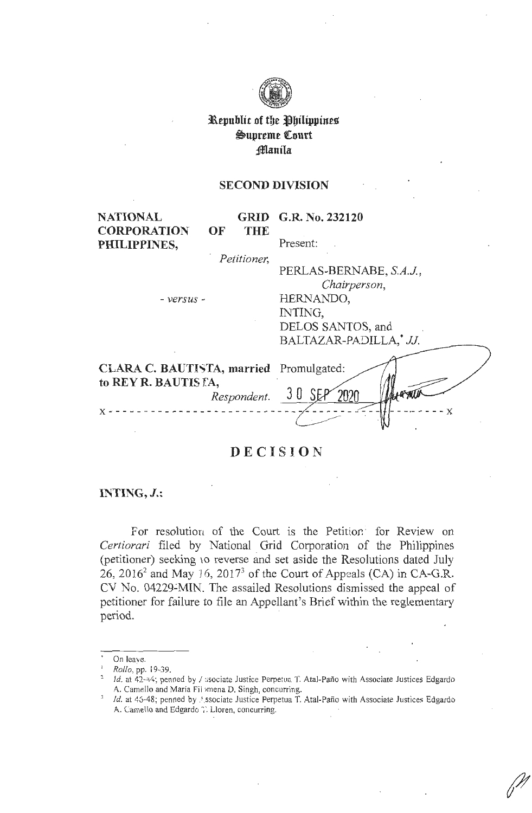

# **l\epublit of tbe ~bilippines**   $\bigcirc$ upreme **Court :fflanila**

### **SECOND DIVISION**

**NATIONAL CORPORATION PHILIPPINES,** 

**GRID G.R. No. 232120 OF THE** 

Present:

· *Petitioner,* 

PERLAS-BERNABE, *S.A.J, Chairperson,*  - *versus* - HERNANDO, INTING, DELOS SANTOS, and BALTAZAR-PADILLA,\* *JJ.* 

| CLARA C. BAUTISTA, married Promulgated:<br>to REY R. BAUTISTA,<br>Respondent. 30 SEP |  |
|--------------------------------------------------------------------------------------|--|
|                                                                                      |  |

# **DECISION**

# **INTING,** *J.:*

For resolution of the Court is the Petition for Review on Certiorari filed by National Grid Corporation of the Philippines (petitioner) seeking 10 reverse and set aside the Resolutions dated July 26, 2016<sup>2</sup> and May 16, 2017<sup>3</sup> of the Court of Appeals (CA) in CA-G.R. CV No. 04229-MIN. The assailed Resolutions dismissed the appeal of petitioner for failure to file an Appellant's Brief within the reglementary period.

On leave.

<sup>1</sup>*Rollo,* pp. I 9--39.

Id. at  $42-44$ ; penned by / ssociate Justice Perpetua T. Atal-Paño with Associate Justices Edgardo A. Camello and Maria Fil mena D. Singh, concurring.

*Id.* at 45-48; penned by *Associate Justice Perpetua T. Atal-Paño with Associate Justices Edgardo* A. Camello and Edgardo <sup>7</sup>. Lloren, concurring.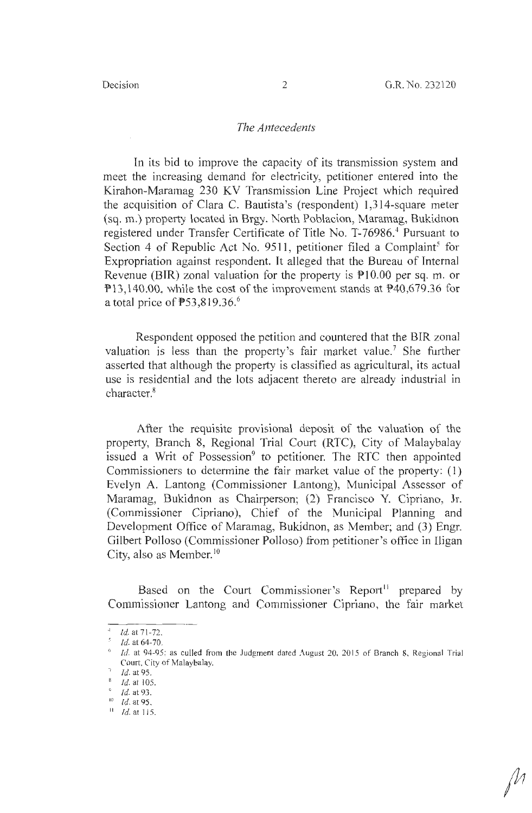### *The Antecedents*

In its bid to improve the capacity of its transmission system and meet the increasing demand for electricity, petitioner entered into the Kirahon-Maramag 230 KV Transmission Line Project which required the acquisition of Clara C. Bautista's (respondent) 1,314-square meter (sq. m.) property located in Brgy. North Poblacion, Maramag, Bukidnon registered under Transfer Certificate of Title No. T-76986.<sup>4</sup> Pursuant to Section 4 of Republic Act No. 9511, petitioner filed a Complaint<sup>5</sup> for Expropriation against respondent. It alleged that the Bureau of Internal Revenue (BIR) zonal valuation for the property is  $P10.00$  per sq. m. or Pl3,140.00, while the cost of the improvement stands at P40,679.36 for a total price of  $P53,819.36$ .<sup>6</sup>

Respondent opposed the petition and countered that the BIR zonal valuation is less than the property's fair market value.<sup>7</sup> She further asserted that although the property is classified as agricultural, its actual use is residential and the lots adjacent thereto are already industrial in character.<sup>8</sup>

After the requisite provisional deposit of the valuation of the property, Branch 8, Regional Trial Court (RTC), City of Malaybalay issued a Writ of Possession<sup>9</sup> to petitioner. The RTC then appointed Commissioners to determine the fair market value of the property: (1) Evelyn A. Lantong (Commissioner Lantong), Municipal Assessor of Maramag, Bukidnon as Chairperson; (2) Francisco Y. Cipriano, Jr. (Commissioner Cipriano), Chief of the Municipal Planning and Development Office of Maramag, Bukidnon, as Member; and (3) Engr. Gilbert Polloso (Commissioner Polloso) from petitioner's office in Iligan City, also as Member.<sup>10</sup>

Based on the Court Commissioner's Report<sup>11</sup> prepared by Commissioner Lantong and Commissioner Cipriano, the fair market

*Id.* at 71-72.<br>*Id.* at 64-70.

Id. at 94-95; as culled from the Judgment dated August 20, 2015 of Branch 8, Regional Trial Court, City of Malaybalay.

Id. at 95.

 $\frac{8}{9}$  Id. at 105.

<sup>&</sup>lt;sup>9</sup> *Id.* at 93.<br><sup>10</sup> *Id.* at 95.

 $10$  Id. at 115.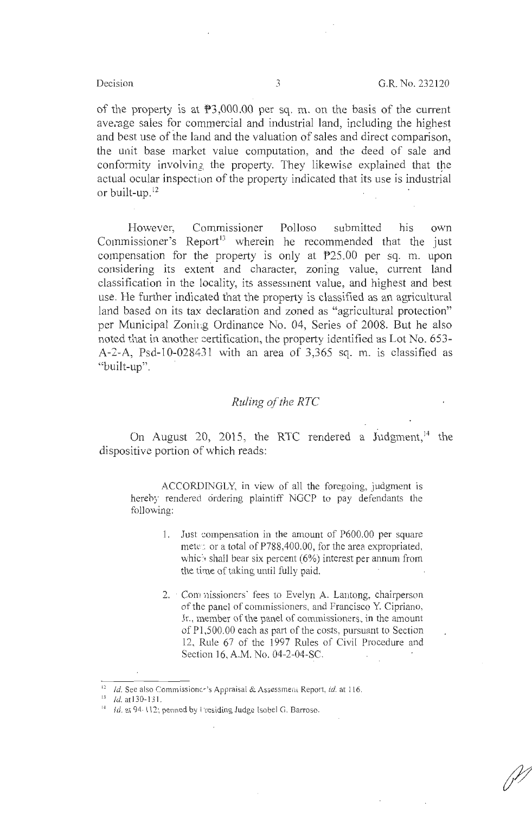of the property is at  $\mathbb{P}3,000.00$  per sq. m. on the basis of the current ave;age sales for commercial and industrial land, including the highest and best use of the land and the valuation of sales and direct comparison, the unit base market value computation, and the deed of sale and conformity involving the property. They likewise explained that the actual ocular inspection of the property indicated that its use is industrial or built-up. $^{12}$ 

However, Commissioner Polloso submitted his own Commissioner's Report<sup>13</sup> wherein he recommended that the just compensation for the property is only at P25.00 per sq. m. upon considering its extent and character, zoning value, current land classification in the locality, its assessment value, and highest and best use. He further indicated that the property is classified as an agricultural land based on its tax declaration and zoned as "agricultural protection" per Municipal Zoning Ordinance No. 04, Series of 2008. But he also noted that in another certification, the property identified as Lot No. 653-A-2-A, Psd-10-028431 with an area of 3,365 sq. m. is classified as "built-up".

# *Ruling of the RTC*

On August 20, 2015, the RTC rendered a Judgment,  $14$  the dispositive portion of which reads:

ACCORDINGLY, in view of all the foregoing, judgment is herehy rendered ordering plaintiff NGCP to pay defendants the following:

- 1. Just compensation in the amount of P600.00 per square mete: or a total of P788,400.00, for the area expropriated, which shall bear six percent (6%) interest per annum from the time of taking until fully paid.
- 2. Commissioners' fees to Evelyn A. Lantong, chairperson of the panel of commissioners, and Francisco Y. Cipriano, Jr., member of the panel of commissioners, in the amount of Pl ,500.00 each as part of the costs, pursuant to Section 12, Rule 67 of the 1997 Rules of Civil Procedure and Section 16, A.M. No. 04-2-04-SC.

<sup>&</sup>lt;sup>12</sup> *Id.* See also Commissioner's Appraisal & Assessment Report, *id.* at 116.<br><sup>13</sup> *Id.* at 130-131.<br><sup>14</sup> *Id.* at 94-112; penned by I residing Judge Isobel G. Barroso.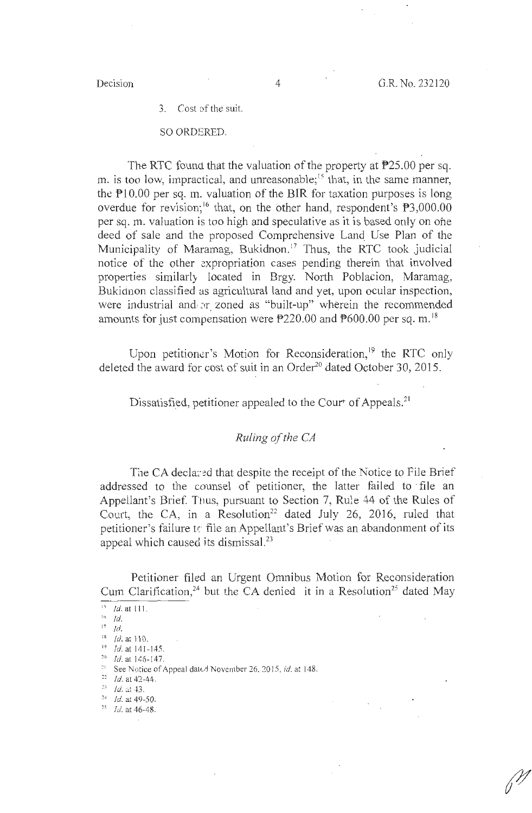3. Cost of the suit.

### SO ORDERED.

The RTC found that the valuation of the property at P25.00 per sq. m. is too low, impractical, and unreasonable;<sup>15</sup> that, in the same manner, the  $P10.00$  per sq. m. valuation of the BIR for taxation purposes is long overdue for revision;<sup>16</sup> that, on the other hand, respondent's  $\mathbb{P}3,000.00$ per sq. m. valuation is too high and speculative as it is based only on one deed of sale and the proposed Comprehensive Land. Use Plan of the Municipality of Maramag, Bukidnon.<sup>17</sup> Thus, the RTC took judicial notice of the other expropriation cases pending therein that involved properties similarly located in Brgy. North Poblacion, Maramag, Bukidnon classified as agricultural land and yet, upon ocular inspection, were industrial and or zoned as "built-up" wherein the recommended amounts for just compensation were P220.00 and P600.00 per sq. m.<sup>18</sup>

Upon petitioner's Motion for Reconsideration,<sup>19</sup> the RTC only deleted the award for cost of suit in an Order $^{20}$  dated October 30, 2015.

Dissatisfied, petitioner appealed to the Court of Appeals.<sup>21</sup>

# *Ruling of the CA*

The CA declared that despite the receipt of the Notice to File Brief addressed to the counsel of petitioner, the latter failed to · file an Appellant's Brief. Thus, pursuant to Section 7, Rule 44 of the Rules of Court, the CA, in a Resolution<sup>22</sup> dated July 26, 2016, ruled that petitioner's failure *tr* file an Appellant's Brief was an abandonment of its appeal which caused its dismissal.<sup>23</sup>

Petitioner filed an Urgent Omnibus Motion for Reconsideration Cum Clarification,<sup>24</sup> but the CA denied it in a Resolution<sup>25</sup> dated May

<sup>&#</sup>x27;' **Id. at** 111.

 $16$  Id.

 $17$  Id.

<sup>&</sup>lt;sup>18</sup> *Id.* at 110.<br><sup>19</sup> *Id.* at 141-145.<br><sup>20</sup> *Id.* at 146-147.<br><sup>21</sup> See Notice of Appeal dated November 26, 2015, *id.* at 148.<br><sup>22</sup> *Id.* at 42-44.<br>*Id.* at 43.

 $^{24}$  *Id.* at 49-50.

<sup>&</sup>lt;sup>25</sup> *Id.* at 46-48.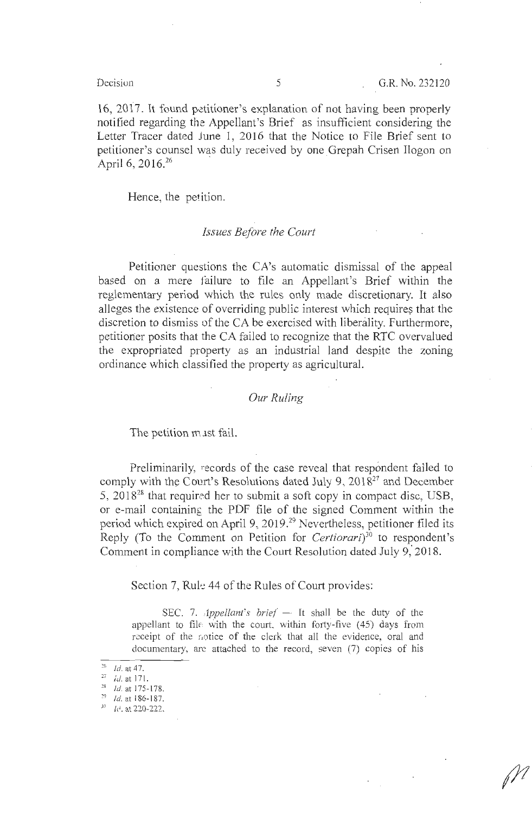16, 2017. It found petitioner's explanation of not having been properly notified regarding the Appellant's Brief as insufficient considering the Letter Tracer dated June 1, 2016 that the Notice to File Brief sent to petitioner's counsel was duly received by one Grepah Crisen Ilogon on April 6, 2016. $^{26}$ 

Hence, the petition.

### *Issues Before the Court*

Petitioner questions the CA's automatic dismissal of the appeal based on a mere failure to file an Appellant's Brief within the reglementary period which the rules only made discretionary. It also alleges the existence of overriding public interest which requires that the discretion to dismiss of the CA be exercised with liberality. Furthermore, petitioner posits that the CA failed to recognize that the RTC overvalued the expropriated property as an industrial land despite the zoning ordinance which classified the property as agricultural.

# *Our Ruling*

The petition must fail.

Preliminarily, records of the case reveal that respondent failed to comply with the Court's Resolutions dated July 9,  $2018<sup>27</sup>$  and December 5,  $2018^{28}$  that required her to submit a soft copy in compact disc, USB, or e-mail containing the PDF file of the signed Comment within the period which expired on April 9, 2019.<sup>29</sup> Nevertheless, petitioner filed its Reply (To the Comment on Petition for *Certiorari)30* to respondent's Comment in compliance with the Court Resolution dated July 9,' 2018.

Section 7, Rule 44 of the Rules of Court provides:

SEC. 7. *Appellant's brief*  $-$  It shall be the duty of the appellant to file with the court, within forty-five  $(45)$  days from receipt of the notice of the clerk that all the evidence, oral and documentary, arc attached to the record, seven (7) copies of his

<sup>&</sup>lt;sup>26</sup> *Id.* at 47.<br><sup>27</sup> *id.* at 171.<br><sup>28</sup> *Id.* at 175-178.

 $29$  *Id.* at 186-187.

JO *frl.* at 220-222.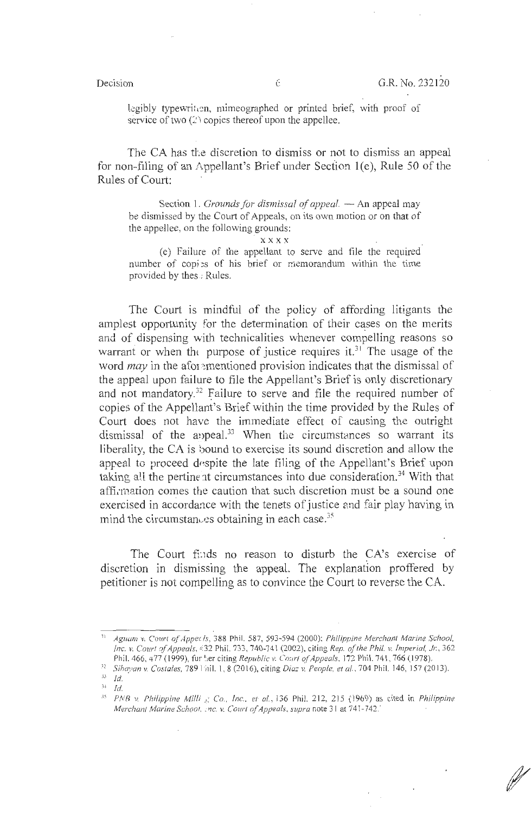legibly typewritten, mimeographed or printed brief, with proof of service of two  $(2)$  copies thereof upon the appellee.

The CA has the discretion to dismiss or not to dismiss an appeal for non-filing of an Appellant's Brief under Section  $1(e)$ , Rule 50 of the Rules of Court:

Section 1. *Grounds for dismissal of appeal*. — An appeal may be dismissed by the Court of Appeals, on its own motion or on that of the appellee, on the following grounds:

**xxxx** 

(e) Failure of the appellant to serve and file the required number of copies of his brief or memorandum within the time provided by thes *:* Rules.

The Court is mindful of the policy of affording litigants the amplest opportunity for the determination of their cases on the merits and of dispensing with technicalities whenever compelling reasons so warrant or when the purpose of justice requires it.<sup>31</sup> The usage of the word *may* in the afor mentioned provision indicates that the dismissal of the appeal upon failure to file the Appellant's Brief is only discretionary and not mandatory.<sup>32</sup> Failure to serve and file the required number of copies of the Appellant's Brief within the time provided by the Rules of Court does not have the immediate effect of causing the outright dismissal of the appeal. $33$  When the circumstances so warrant its liberality, the CA is bound to exercise its sound discretion and allow the appeal to proceed despite the late filing of the Appellant's Brief upon taking all the pertinent circumstances into due consideration.<sup>34</sup> With that affirmation comes the caution that such discretion must be a sound one exercised in accordance with the tenets of justice and fair play having in mind the circumstances obtaining in each case. $35$ 

The Court finds no reason to disturb the CA's exercise of discretion in dismissing the appeal. The explanation proffered by petitioner is not compelling as to convince the Court to reverse the CA.

<sup>&</sup>lt;sup>11</sup> Aguam v. Court of Appec Is, 388 Phil. 587, 593-594 (2000); *Philippine Merchant Marine School*, *Inc. v. Court of Appeals,*  $\angle$  32 Phil. 733, 740-741 (2002), citing *Rep. of the Phil. v. Imperial, Jr.*, 362

Phil. 466, 477 (1999), further citing Republic v. Court of Appeals, 172 Phil. 741, 766 (1978).<br><sup>32</sup> Sihayan v. Costales, 789 Fhil. 1, 8 (2016), citing Diaz v. People, et al., 704 Phil. 146, 157 (2013).

 $\overline{\phantom{a}}^{33}$  Id.

 $14$  *Id.* 

<sup>&</sup>lt;sup>35</sup> PNB v. Philippine Milli *s*; Co., Inc., et al., 136 Phil. 212, 215 (1969) as cited in *Philippine Merchant Marine Schoot, : nc. v. Court of Appeals, supra* note 31 at 741-742.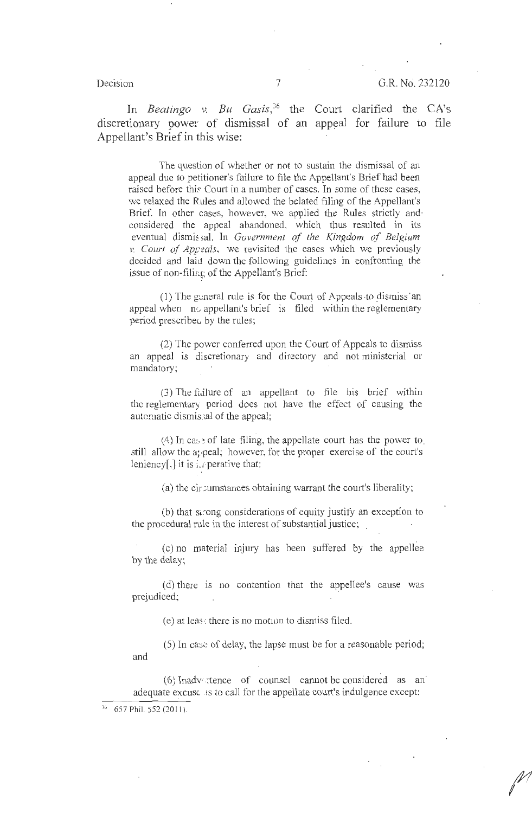In *Beatingo v. Bu Gasis*,<sup>36</sup> the Court clarified the CA's discretionary power of dismissal of an appeal for failure to file Appellant's Brief in this wise:

The question of whether or not to sustain the dismissal of an appeal due to petitioner's failure to file the Appellant's Brief had been raised before this Court in a number of cases. In some of these cases, we relaxed the Rules and allowed the belated filing of the Appellant's Brief. In other cases, however, we applied the Rules strictly and· considered the appeal abandoned, which thus resulted in its eventual dismissal. In *Government of the Kingdom of Belgium v. Court of Appials,* we revisited the cases which we previously decided and laid down the following guidelines in confronting the issue of non-filir;g of the Appellant's Brief:

 $(1)$  The general rule is for the Court of Appeals to dismiss an appeal when  $\overline{m}$  appellant's brief is filed within the reglementary period prescribed by the rules;

(2) The power confened upon the Court of Appeals to dismiss an appeal is discretionary and directory and not ministerial or mandatory;

 $(3)$  The failure of an appellant to file his brief within the reglementary period does not have the effect of causing the automatic dismissal of the appeal;

 $(4)$  In case of late filing, the appellate court has the power to. still allow the appeal; however, for the proper exercise of the court's leniency[,] it is in perative that:

(a) the circumstances obtaining warrant the court's liberality;

(b) that sirong considerations of equity justify an exception to the procedural rule in the interest of substantial justice; .

(c) no material injury has been suffered by the appellee by the delay;

(d) there 1s no contention that the appellee's cause was prejudiced;

 $(e)$  at leas: there is no motion to dismiss filed.

(5) In case of delay, the lapse must be for a reasonable period; and

 $(6)$  Inadvectence of counsel cannot be considered as an adequate excuse as to call for the appellate court's indulgence except:

<sup>36 657</sup> Phil. 552 (2011).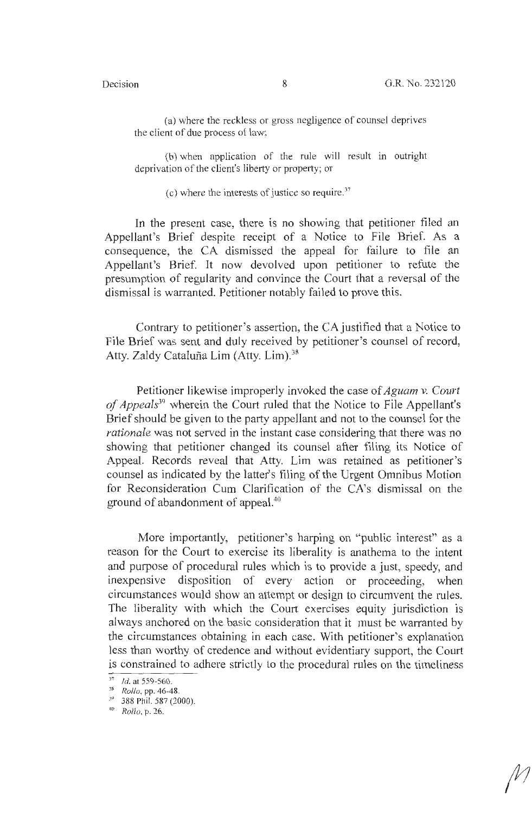(a) where the reckless or gross negligence of counsel deprives the client of due process of law;

(b) when application of the rule will result in outright deprivation of the client's liberty or property; or

(c) where the interests of justice so require. <sup>37</sup>

In the present case, there is no showing that petitioner filed an Appellant's Brief despite receipt of a Notice to File Brief. As a consequence, the CA dismissed the appeal for failure to file an Appellant's Brief. It now devolved upon petitioner to refute the presumption of regularity and convince the Court that a reversal of the dismissal is warranted. Petitioner notably failed to prove this.

Contrary to petitioner's assertion, the CA justified that a Notice to File Brief was sent and duly received by petitioner's counsel of record, Atty. Zaldy Cataluña Lim (Atty. Lim).<sup>38</sup>

Petitioner likewise improperly invoked the case of *Aguam v. Court of Appeals39* wherein the Court ruled that the Notice to File Appellant's Brief should be given to the party appellant and not to the counsel for the *rationale* was not served in the instant case considering that there was no showing that petitioner changed its counsel after filing its Notice of Appeal. Records reveal that Atty. Lim was retained as petitioner's counsel as indicated by the latter's filing of the Urgent Omnibus Motion for Reconsideration Cum Clarification of the CA's dismissal on the ground of abandonment of appeal.<sup>40</sup>

More importantly, petitioner's harping on "public interest" as a reason for the Court to exercise its liberality is anathema to the intent and purpose of procedural rules which is to provide a just, speedy, and inexpensive disposition of every action or proceeding, when circumstances would show an attempt or design to circumvent the rules. The liberality with which the Court exercises equity jurisdiction is always anchored on the basic consideration that it must be warranted by the circumstances obtaining in each case. With petitioner's explanation less than worthy of credence and without evidentiary support, the Court is constrained to adhere strictly lo the procedural rules on the timeliness

<sup>37</sup>Id. at 559-560. 38 *Rollo,* pp. 46-48. 39 388 Phil. 587 (2000). 40 *Rollo,* p. 26.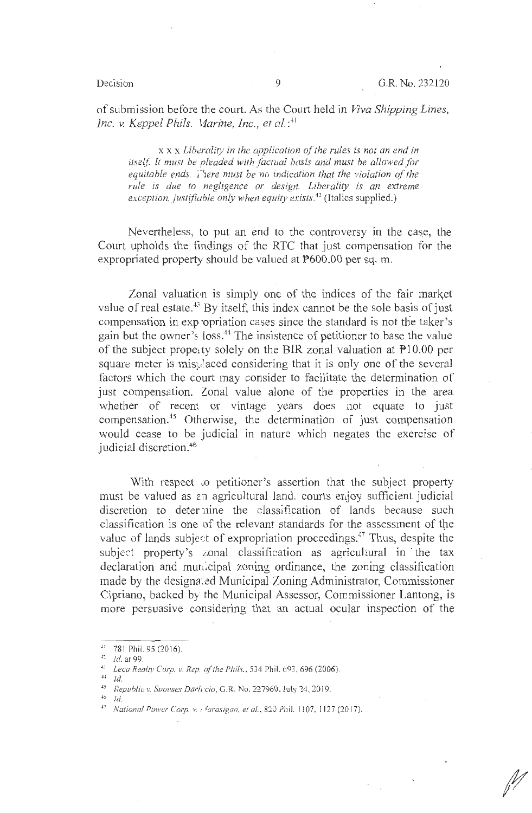of submission before the court. As the Court held in *Viva Shipping Lines, Inc.* v. *Keppel Phils. \1arine, Inc., et al.* : 4 1

 $x \times x$  *Liberality in the application of the rules is not an end in* itself. It must be pleaded with factual basis and must be allowed for equitable ends. *i'lere must be no indication that the violation of the rule is due to negligence or design. Liberality is an extreme exception, justifiuble only when equity exists.*<sup>42</sup> (Italics supplied.)

Nevertheless, to put an end to the controversy in the case, the Court upholds the findings of the RTC that just compensation for the expropriated property should be valued at P600.00 per sq. m.

Zonal valuation is simply one of the indices of the fair market value of real estate.<sup>43</sup> By itself, this index cannot be the sole basis of just compensation in exp opriation cases since the standard is not the taker's gain but the owner's loss.<sup>44</sup> The insistence of petitioner to base the value of the subject property solely on the BIR zonal valuation at  $\mathbb{P}10.00$  per square meter is misylaced considering that it is only one of the several factors which the court may consider to facilitate the determination of just compensation. Zonal value alone of the properties in the area whether of recent or vintage years does not equate to just compensation.45 Otherwise, the determination of just compensation would cease to be judicial in nature which negates the exercise of judicial discretion. <sup>46</sup>

With respect to petitioner's assertion that the subject property must be valued as 2n agricultural land. courts enjoy sufficient judicial discretion to deternine the classification of lands because such classification is one of the relevant standards for the assessment of the value of lands subject of expropriation proceedings.<sup>47</sup> Thus, despite the subject property's zonal classification as agricultural in the tax declaration and municipal zoning ordinance, the zoning classification made by the designated Municipal Zoning Administrator, Commissioner Cipriano, backed by the Municipal Assessor, Commissioner Lantong, is more persuasive considering that an actual ocular inspection of the

<sup>41 781</sup> Phil. 95 (201 6). 42 Id. at 99. 43 *Leca Realty Corp.* v. *Rep. of the Phils. ,* 534 Phil. 693. 696 (2006).

 $^{44}$  Id.

<sup>45</sup>*f..epuhlic: v. Svouses Dari; ·cio,* G.R. No. 227960, July ~4, 2019.

 $^{46}$  Id.

<sup>&</sup>lt;sup>47</sup> National Power Corp. v. <sub>1</sub> <sup>4</sup>arasigan, et al., 820 Phil. 1107, 1127 (2017).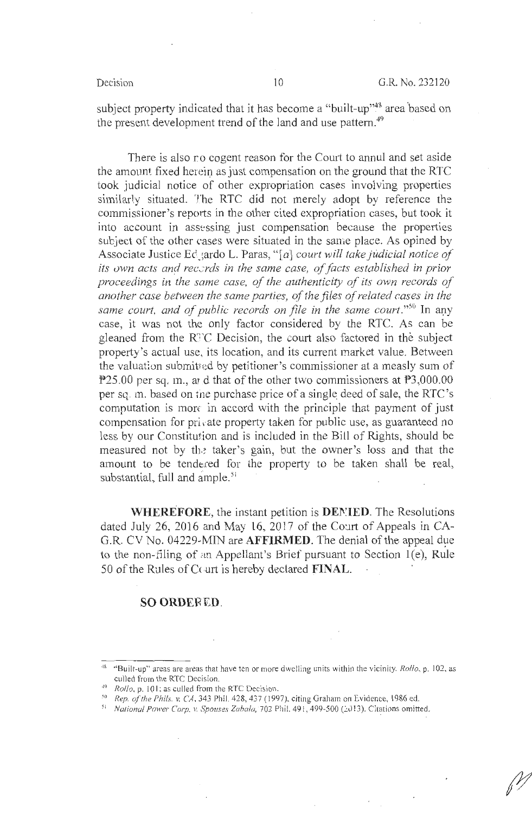subject property indicated that it has become a "built-up"<sup>48</sup> area based on the present development trend of the land and use pattern.<sup>49</sup>

There is also no cogent reason for the Court to annul and set aside the amount fixed herein as just compensation on the ground that the RTC took judicial notice of other expropriation cases involving properties similarly situated. The RTC did not merely adopt by reference the commissioner's reports in the other cited expropriation cases, but took it into account in assessing just compensation because the properties subject of the other cases were situated in the same place. As opined by Associate Justice Ed\_\ardo L. Paras, " [a] *court will take judicial notice of*  its own acts and records in the same case, of facts established in prior *proceedings in the same case, of the authenticity of its own records of another case between the same parties, of the files of related cases in the*  same court, and of public records on file in the same court."<sup>50</sup> In any case, it was not the only factor considered by the RTC. As can be gleaned from the R<sup>T</sup>C Decision, the court also factored in the subject property's actual use, its location, and its current market value. Between the valuation submitted by petitioner's commissioner at a measly sum of P25.00 per sq. m., and that of the other two commissioners at P3,000.00 per sq. m. based on the purchase price of a single deed of sale, the RTC's computation is more in accord with the principle that payment of just compensation for private property taken for public use, as guaranteed no less by our Constitution and is included in the Bill of Rights, should be measured not by the taker's gain, but the owner's loss and that the amount to be tendered for the property to be taken shall be real, substantial, full and ample.<sup>51</sup>

**WHEREFORE, the instant petition is <b>DENIED**. The Resolutions dated July 26, 2016 and May 16, 2017 of the Court of Appeals in CA-G.R. CV No. 04229-MIN are **AFFIRMED**. The denial of the appeal due to the non-filing of an Appellant's Brief pursuant to Section  $1(e)$ , Rule 50 of the Rules of Court is hereby declared **FINAL**.

### **SO ORDEFIED.**

<sup>48</sup>"Built-up" areas are areas that have ten or more dwelling units within the vicin ity. *Rollo,* p. 102, as culled from the RTC Decision.<br><sup>49</sup> *Rollo*, p. 101; as culled from the RTC Decision.

*<sup>50</sup> Rep. of the f'hils. v. CA,* 343 Phil. 428,437 (1997). citing Graham en Evidence, I 986 ed.

<sup>&</sup>lt;sup>51</sup> National Power Corp. v. Spouses Zabala, 702 Phil. 491, 499-500 (2013). Citations omitted.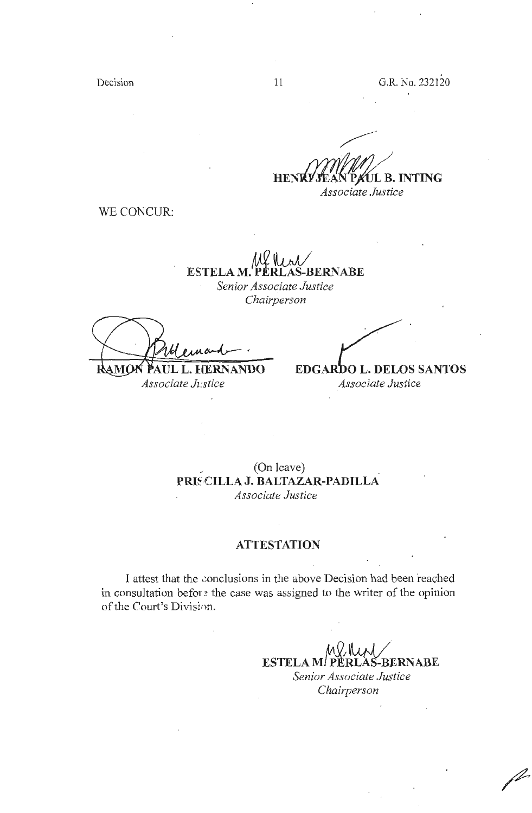Decision

**HENRY JEAN PAUL B. INTING** *Associate Justice* 

WE CONCUR:

**ESTELA M. PERLAS-BERNABE** 

*Senior Associate Justice Chairperson* 

**AUL L. HERNANDO RAMC** 

**EDGARDO L. DELOS SANTOS** *Associate Jz:stice Associate Justice* 

> (On leave) \_ **PRI~,CILLA J. BALTAZAR-PADILLA**  *Associate Justice*

# **ATTESTATION**

I attest that the conclusions in the above Decision had been reached in consultation befor  $\epsilon$  the case was assigned to the writer of the opinion of the Court's Division.

> $M$  Ry  $M$ **ESTELA Mf PERLAS-BERNABE**  *Senior Associate Justice Chairperson*